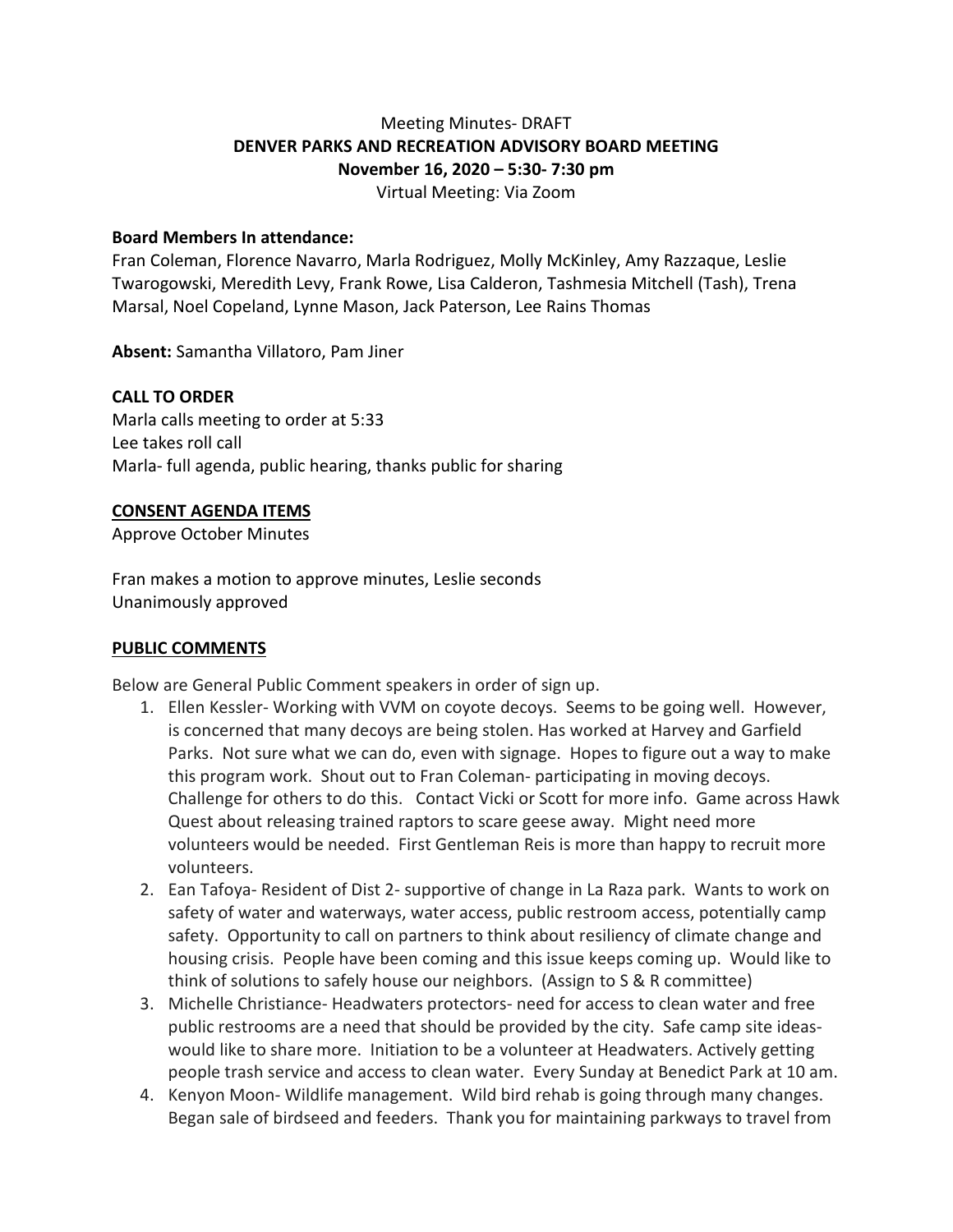# Meeting Minutes- DRAFT **DENVER PARKS AND RECREATION ADVISORY BOARD MEETING November 16, 2020 – 5:30- 7:30 pm**

Virtual Meeting: Via Zoom

#### **Board Members In attendance:**

Fran Coleman, Florence Navarro, Marla Rodriguez, Molly McKinley, Amy Razzaque, Leslie Twarogowski, Meredith Levy, Frank Rowe, Lisa Calderon, Tashmesia Mitchell (Tash), Trena Marsal, Noel Copeland, Lynne Mason, Jack Paterson, Lee Rains Thomas

**Absent:** Samantha Villatoro, Pam Jiner

### **CALL TO ORDER**

Marla calls meeting to order at 5:33 Lee takes roll call Marla- full agenda, public hearing, thanks public for sharing

#### **CONSENT AGENDA ITEMS**

Approve October Minutes

Fran makes a motion to approve minutes, Leslie seconds Unanimously approved

### **PUBLIC COMMENTS**

Below are General Public Comment speakers in order of sign up.

- 1. Ellen Kessler- Working with VVM on coyote decoys. Seems to be going well. However, is concerned that many decoys are being stolen. Has worked at Harvey and Garfield Parks. Not sure what we can do, even with signage. Hopes to figure out a way to make this program work. Shout out to Fran Coleman- participating in moving decoys. Challenge for others to do this. Contact Vicki or Scott for more info. Game across Hawk Quest about releasing trained raptors to scare geese away. Might need more volunteers would be needed. First Gentleman Reis is more than happy to recruit more volunteers.
- 2. Ean Tafoya- Resident of Dist 2- supportive of change in La Raza park. Wants to work on safety of water and waterways, water access, public restroom access, potentially camp safety. Opportunity to call on partners to think about resiliency of climate change and housing crisis. People have been coming and this issue keeps coming up. Would like to think of solutions to safely house our neighbors. (Assign to S & R committee)
- 3. Michelle Christiance- Headwaters protectors- need for access to clean water and free public restrooms are a need that should be provided by the city. Safe camp site ideaswould like to share more. Initiation to be a volunteer at Headwaters. Actively getting people trash service and access to clean water. Every Sunday at Benedict Park at 10 am.
- 4. Kenyon Moon- Wildlife management. Wild bird rehab is going through many changes. Began sale of birdseed and feeders. Thank you for maintaining parkways to travel from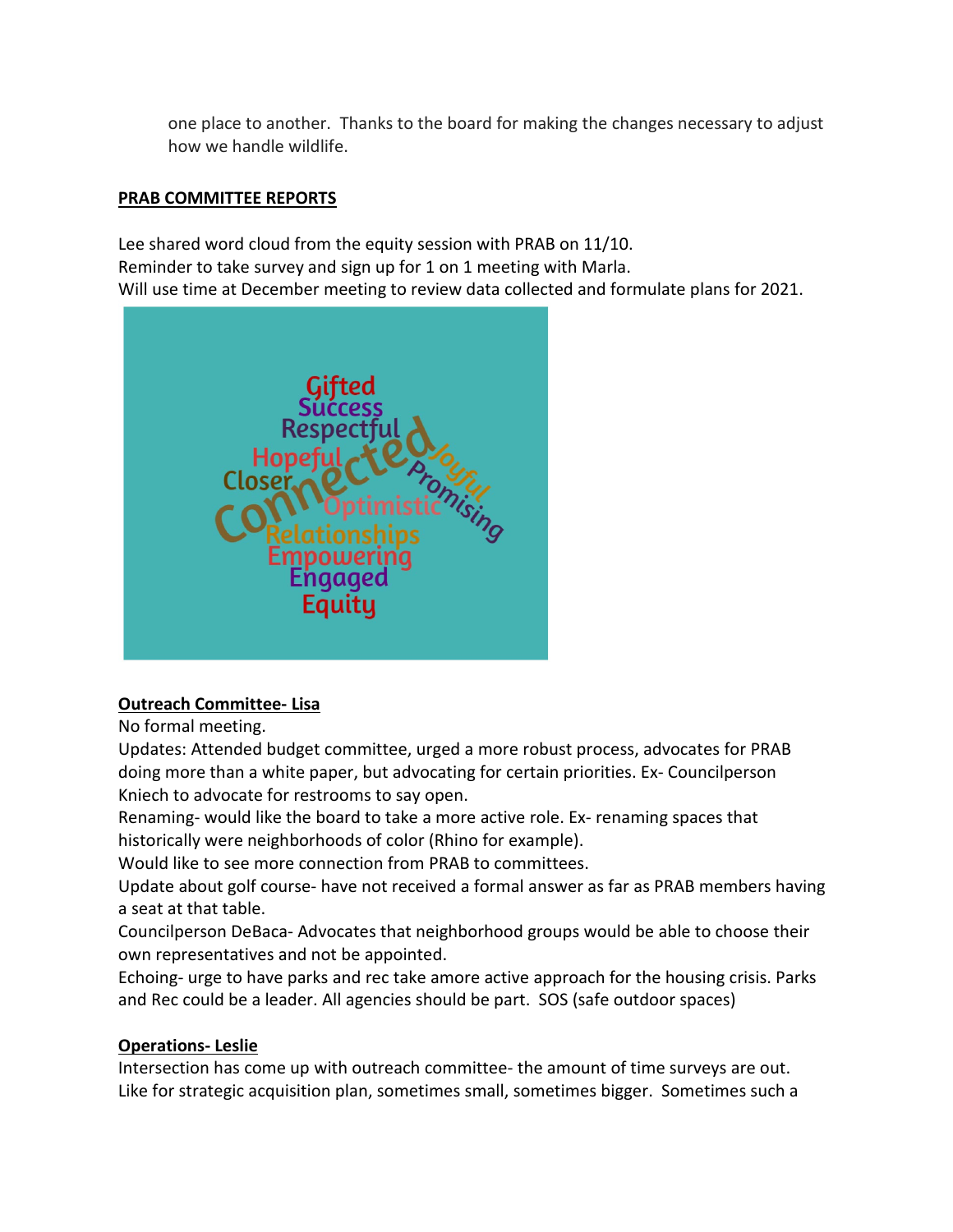one place to another. Thanks to the board for making the changes necessary to adjust how we handle wildlife.

### **PRAB COMMITTEE REPORTS**

Lee shared word cloud from the equity session with PRAB on 11/10. Reminder to take survey and sign up for 1 on 1 meeting with Marla. Will use time at December meeting to review data collected and formulate plans for 2021.



## **Outreach Committee- Lisa**

No formal meeting.

Updates: Attended budget committee, urged a more robust process, advocates for PRAB doing more than a white paper, but advocating for certain priorities. Ex- Councilperson Kniech to advocate for restrooms to say open.

Renaming- would like the board to take a more active role. Ex- renaming spaces that historically were neighborhoods of color (Rhino for example).

Would like to see more connection from PRAB to committees.

Update about golf course- have not received a formal answer as far as PRAB members having a seat at that table.

Councilperson DeBaca- Advocates that neighborhood groups would be able to choose their own representatives and not be appointed.

Echoing- urge to have parks and rec take amore active approach for the housing crisis. Parks and Rec could be a leader. All agencies should be part. SOS (safe outdoor spaces)

## **Operations- Leslie**

Intersection has come up with outreach committee- the amount of time surveys are out. Like for strategic acquisition plan, sometimes small, sometimes bigger. Sometimes such a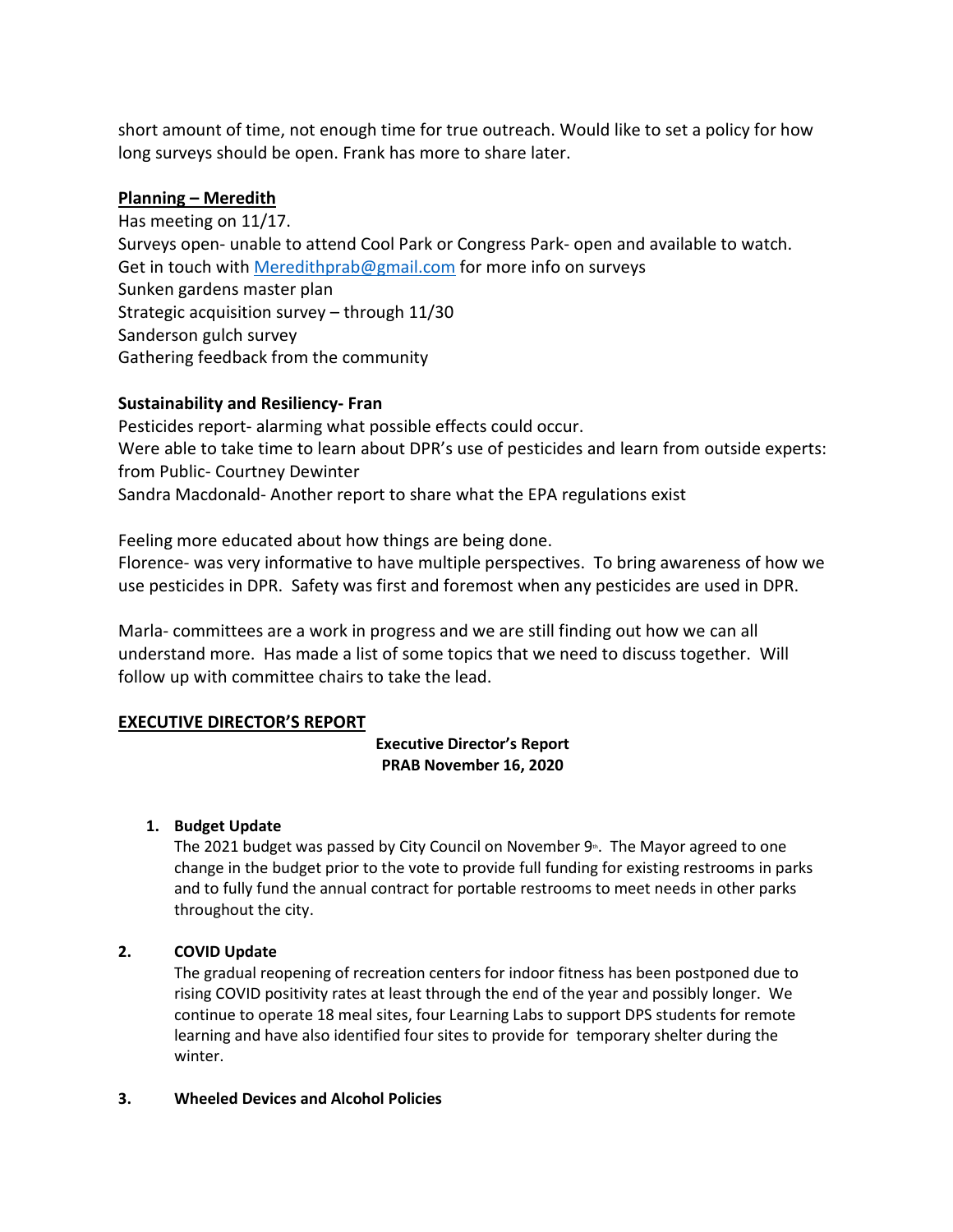short amount of time, not enough time for true outreach. Would like to set a policy for how long surveys should be open. Frank has more to share later.

### **Planning – Meredith**

Has meeting on 11/17. Surveys open- unable to attend Cool Park or Congress Park- open and available to watch. Get in touch with [Meredithprab@gmail.com](mailto:Meredithprab@gmail.com) for more info on surveys Sunken gardens master plan Strategic acquisition survey – through 11/30 Sanderson gulch survey Gathering feedback from the community

### **Sustainability and Resiliency- Fran**

Pesticides report- alarming what possible effects could occur. Were able to take time to learn about DPR's use of pesticides and learn from outside experts: from Public- Courtney Dewinter Sandra Macdonald- Another report to share what the EPA regulations exist

Feeling more educated about how things are being done.

Florence- was very informative to have multiple perspectives. To bring awareness of how we use pesticides in DPR. Safety was first and foremost when any pesticides are used in DPR.

Marla- committees are a work in progress and we are still finding out how we can all understand more. Has made a list of some topics that we need to discuss together. Will follow up with committee chairs to take the lead.

## **EXECUTIVE DIRECTOR'S REPORT**

#### **Executive Director's Report PRAB November 16, 2020**

### **1. Budget Update**

The 2021 budget was passed by City Council on November  $9$ <sup>\*</sup>. The Mayor agreed to one change in the budget prior to the vote to provide full funding for existing restrooms in parks and to fully fund the annual contract for portable restrooms to meet needs in other parks throughout the city.

### **2. COVID Update**

The gradual reopening of recreation centers for indoor fitness has been postponed due to rising COVID positivity rates at least through the end of the year and possibly longer. We continue to operate 18 meal sites, four Learning Labs to support DPS students for remote learning and have also identified four sites to provide for temporary shelter during the winter.

### **3. Wheeled Devices and Alcohol Policies**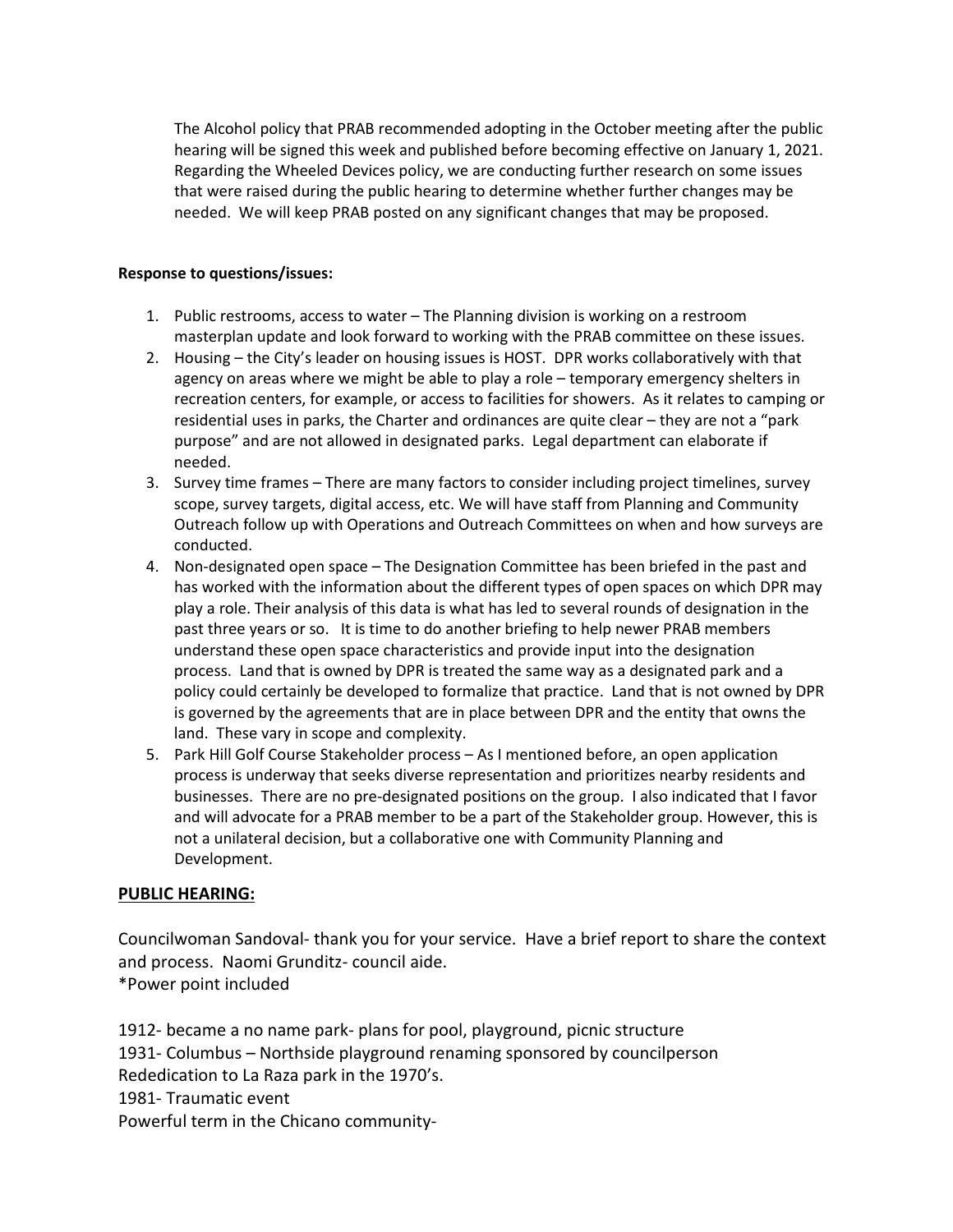The Alcohol policy that PRAB recommended adopting in the October meeting after the public hearing will be signed this week and published before becoming effective on January 1, 2021. Regarding the Wheeled Devices policy, we are conducting further research on some issues that were raised during the public hearing to determine whether further changes may be needed. We will keep PRAB posted on any significant changes that may be proposed.

#### **Response to questions/issues:**

- 1. Public restrooms, access to water The Planning division is working on a restroom masterplan update and look forward to working with the PRAB committee on these issues.
- 2. Housing the City's leader on housing issues is HOST. DPR works collaboratively with that agency on areas where we might be able to play a role – temporary emergency shelters in recreation centers, for example, or access to facilities for showers. As it relates to camping or residential uses in parks, the Charter and ordinances are quite clear – they are not a "park purpose" and are not allowed in designated parks. Legal department can elaborate if needed.
- 3. Survey time frames There are many factors to consider including project timelines, survey scope, survey targets, digital access, etc. We will have staff from Planning and Community Outreach follow up with Operations and Outreach Committees on when and how surveys are conducted.
- 4. Non-designated open space The Designation Committee has been briefed in the past and has worked with the information about the different types of open spaces on which DPR may play a role. Their analysis of this data is what has led to several rounds of designation in the past three years or so. It is time to do another briefing to help newer PRAB members understand these open space characteristics and provide input into the designation process. Land that is owned by DPR is treated the same way as a designated park and a policy could certainly be developed to formalize that practice. Land that is not owned by DPR is governed by the agreements that are in place between DPR and the entity that owns the land. These vary in scope and complexity.
- 5. Park Hill Golf Course Stakeholder process As I mentioned before, an open application process is underway that seeks diverse representation and prioritizes nearby residents and businesses. There are no pre-designated positions on the group. I also indicated that I favor and will advocate for a PRAB member to be a part of the Stakeholder group. However, this is not a unilateral decision, but a collaborative one with Community Planning and Development.

### **PUBLIC HEARING:**

Councilwoman Sandoval- thank you for your service. Have a brief report to share the context and process. Naomi Grunditz- council aide. \*Power point included

1912- became a no name park- plans for pool, playground, picnic structure 1931- Columbus – Northside playground renaming sponsored by councilperson Rededication to La Raza park in the 1970's. 1981- Traumatic event Powerful term in the Chicano community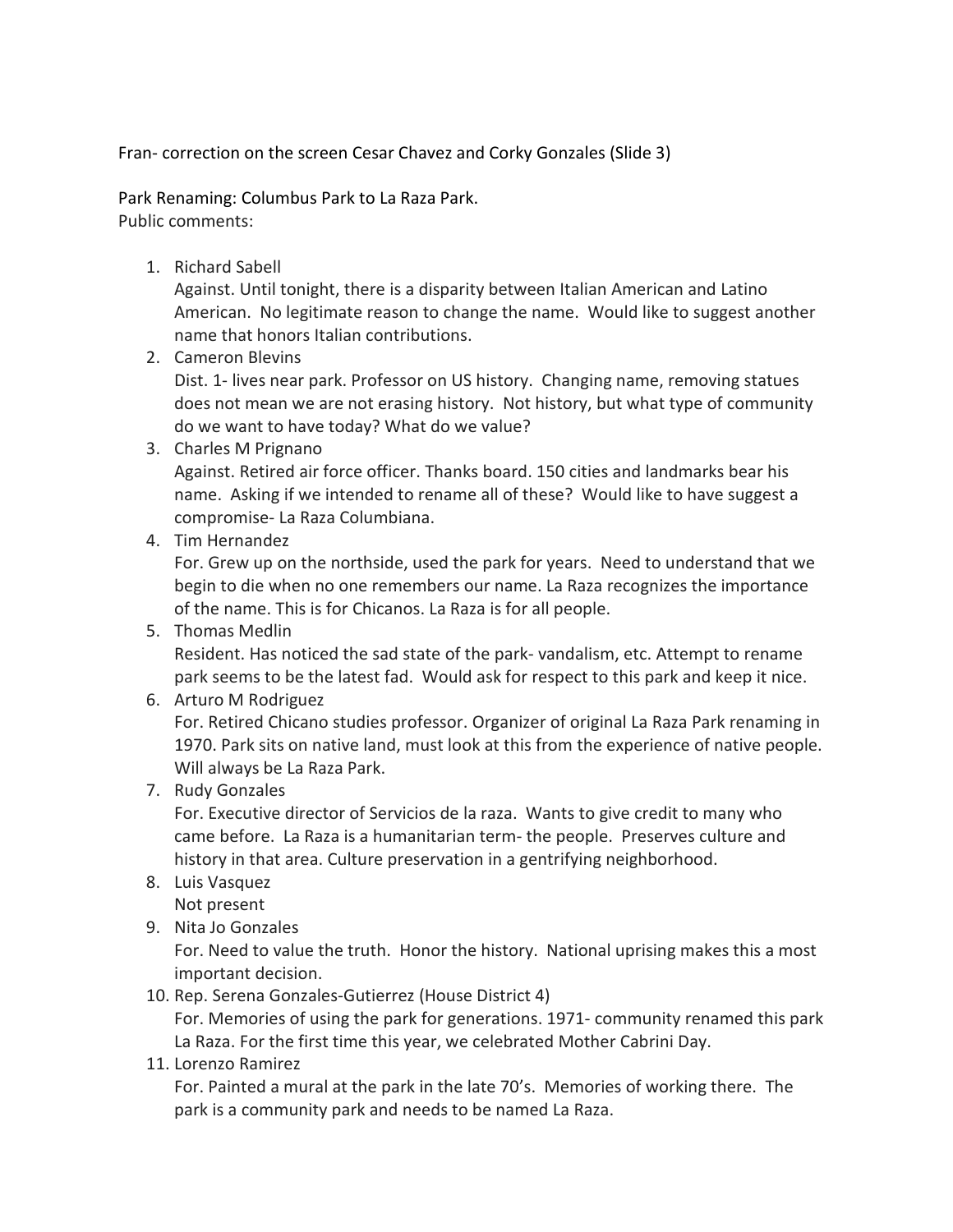Fran- correction on the screen Cesar Chavez and Corky Gonzales (Slide 3)

Park Renaming: Columbus Park to La Raza Park. Public comments:

1. Richard Sabell

Against. Until tonight, there is a disparity between Italian American and Latino American. No legitimate reason to change the name. Would like to suggest another name that honors Italian contributions.

2. Cameron Blevins

Dist. 1- lives near park. Professor on US history. Changing name, removing statues does not mean we are not erasing history. Not history, but what type of community do we want to have today? What do we value?

3. Charles M Prignano

Against. Retired air force officer. Thanks board. 150 cities and landmarks bear his name. Asking if we intended to rename all of these? Would like to have suggest a compromise- La Raza Columbiana.

4. Tim Hernandez

For. Grew up on the northside, used the park for years. Need to understand that we begin to die when no one remembers our name. La Raza recognizes the importance of the name. This is for Chicanos. La Raza is for all people.

5. Thomas Medlin

Resident. Has noticed the sad state of the park- vandalism, etc. Attempt to rename park seems to be the latest fad. Would ask for respect to this park and keep it nice.

6. Arturo M Rodriguez

For. Retired Chicano studies professor. Organizer of original La Raza Park renaming in 1970. Park sits on native land, must look at this from the experience of native people. Will always be La Raza Park.

7. Rudy Gonzales

For. Executive director of Servicios de la raza. Wants to give credit to many who came before. La Raza is a humanitarian term- the people. Preserves culture and history in that area. Culture preservation in a gentrifying neighborhood.

8. Luis Vasquez

Not present

9. Nita Jo Gonzales

For. Need to value the truth. Honor the history. National uprising makes this a most important decision.

10. Rep. Serena Gonzales-Gutierrez (House District 4)

For. Memories of using the park for generations. 1971- community renamed this park La Raza. For the first time this year, we celebrated Mother Cabrini Day.

11. Lorenzo Ramirez

For. Painted a mural at the park in the late 70's. Memories of working there. The park is a community park and needs to be named La Raza.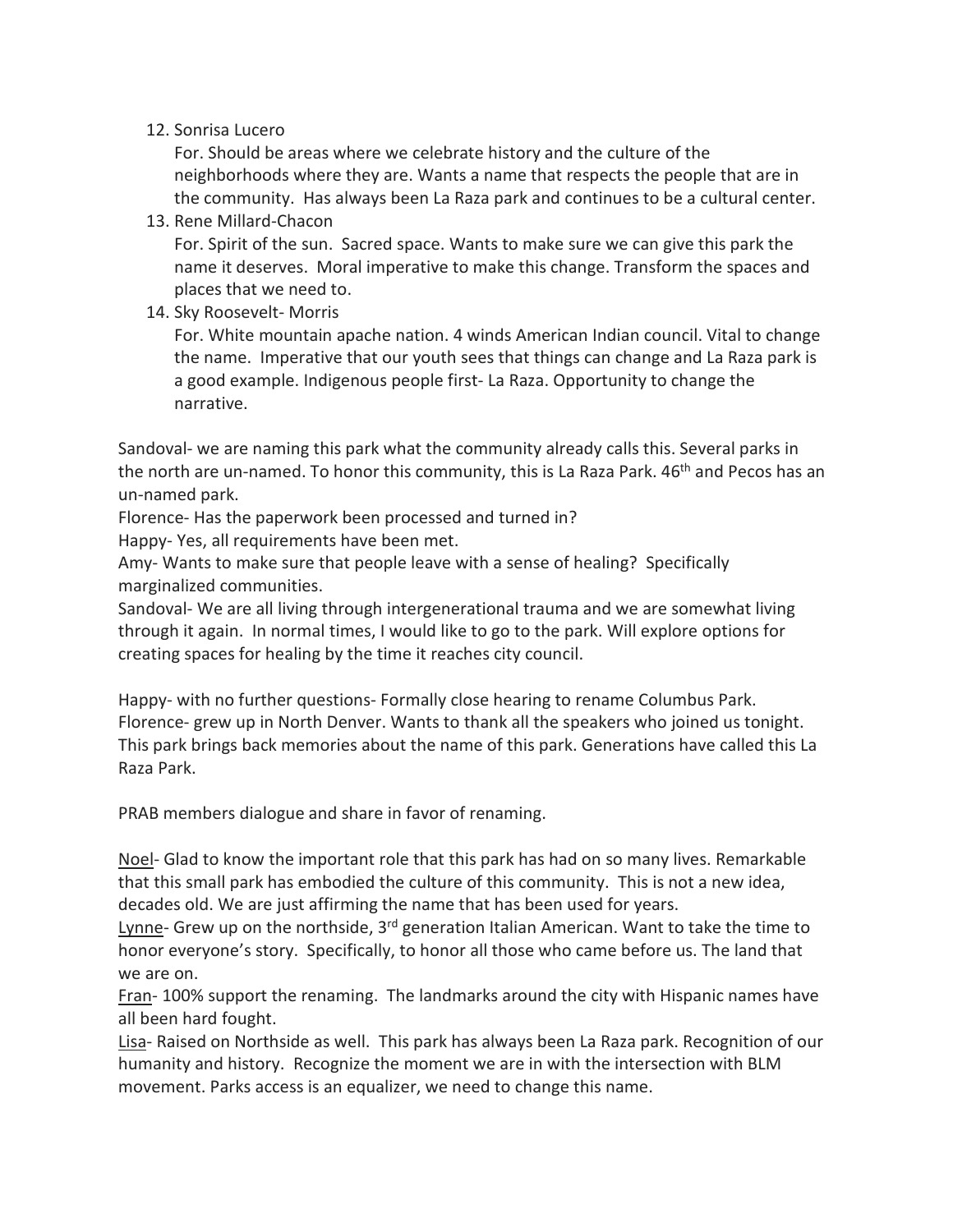## 12. Sonrisa Lucero

For. Should be areas where we celebrate history and the culture of the neighborhoods where they are. Wants a name that respects the people that are in the community. Has always been La Raza park and continues to be a cultural center.

13. Rene Millard-Chacon

For. Spirit of the sun. Sacred space. Wants to make sure we can give this park the name it deserves. Moral imperative to make this change. Transform the spaces and places that we need to.

14. Sky Roosevelt- Morris

For. White mountain apache nation. 4 winds American Indian council. Vital to change the name. Imperative that our youth sees that things can change and La Raza park is a good example. Indigenous people first- La Raza. Opportunity to change the narrative.

Sandoval- we are naming this park what the community already calls this. Several parks in the north are un-named. To honor this community, this is La Raza Park. 46<sup>th</sup> and Pecos has an un-named park.

Florence- Has the paperwork been processed and turned in?

Happy- Yes, all requirements have been met.

Amy- Wants to make sure that people leave with a sense of healing? Specifically marginalized communities.

Sandoval- We are all living through intergenerational trauma and we are somewhat living through it again. In normal times, I would like to go to the park. Will explore options for creating spaces for healing by the time it reaches city council.

Happy- with no further questions- Formally close hearing to rename Columbus Park. Florence- grew up in North Denver. Wants to thank all the speakers who joined us tonight. This park brings back memories about the name of this park. Generations have called this La Raza Park.

PRAB members dialogue and share in favor of renaming.

Noel- Glad to know the important role that this park has had on so many lives. Remarkable that this small park has embodied the culture of this community. This is not a new idea, decades old. We are just affirming the name that has been used for years.

Lynne- Grew up on the northside, 3<sup>rd</sup> generation Italian American. Want to take the time to honor everyone's story. Specifically, to honor all those who came before us. The land that we are on.

Fran- 100% support the renaming. The landmarks around the city with Hispanic names have all been hard fought.

Lisa- Raised on Northside as well. This park has always been La Raza park. Recognition of our humanity and history. Recognize the moment we are in with the intersection with BLM movement. Parks access is an equalizer, we need to change this name.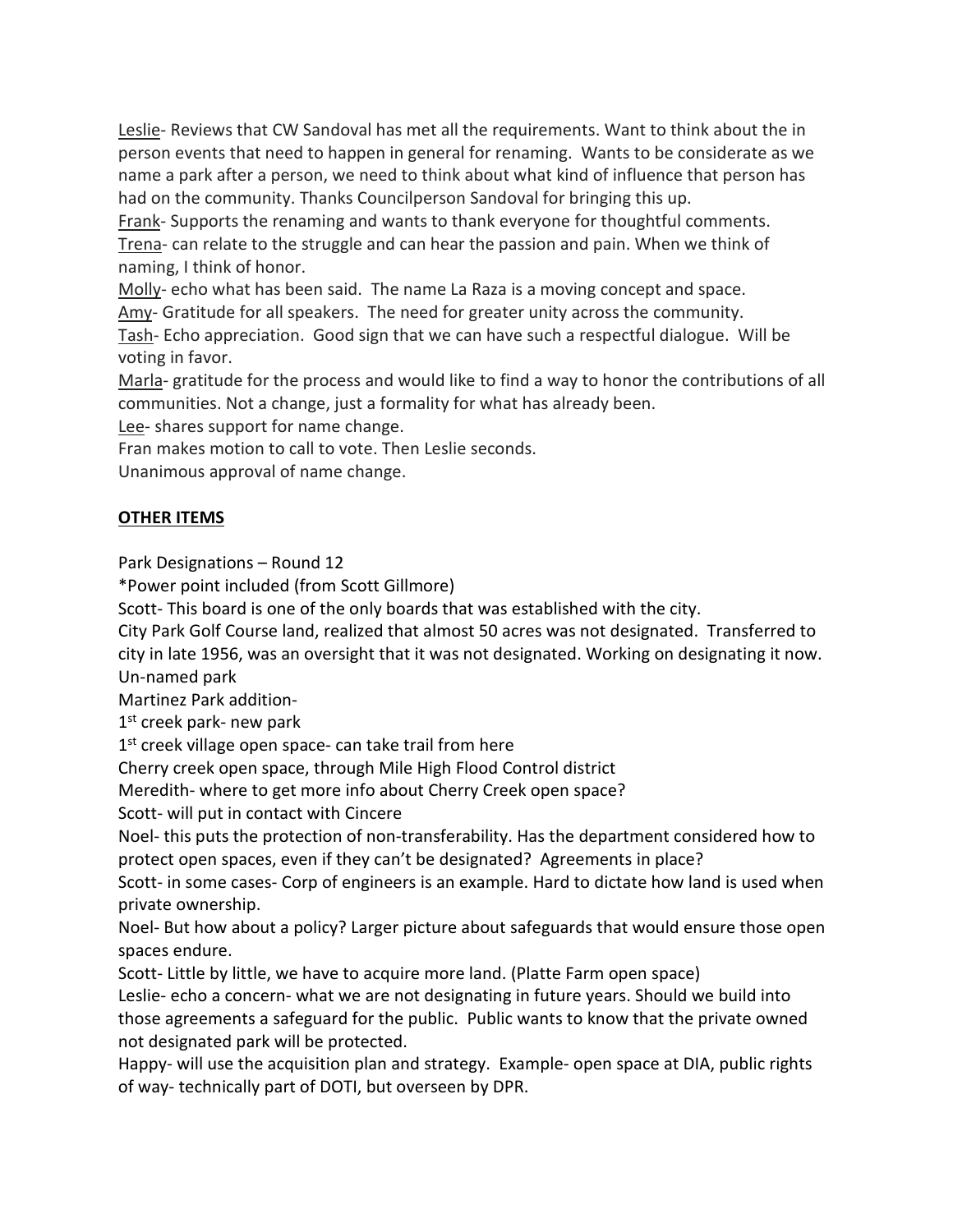Leslie- Reviews that CW Sandoval has met all the requirements. Want to think about the in person events that need to happen in general for renaming. Wants to be considerate as we name a park after a person, we need to think about what kind of influence that person has had on the community. Thanks Councilperson Sandoval for bringing this up.

Frank- Supports the renaming and wants to thank everyone for thoughtful comments. Trena- can relate to the struggle and can hear the passion and pain. When we think of naming, I think of honor.

Molly- echo what has been said. The name La Raza is a moving concept and space.

Amy- Gratitude for all speakers. The need for greater unity across the community.

Tash- Echo appreciation. Good sign that we can have such a respectful dialogue. Will be voting in favor.

Marla- gratitude for the process and would like to find a way to honor the contributions of all communities. Not a change, just a formality for what has already been.

Lee- shares support for name change.

Fran makes motion to call to vote. Then Leslie seconds.

Unanimous approval of name change.

# **OTHER ITEMS**

Park Designations – Round 12

\*Power point included (from Scott Gillmore)

Scott- This board is one of the only boards that was established with the city.

City Park Golf Course land, realized that almost 50 acres was not designated. Transferred to city in late 1956, was an oversight that it was not designated. Working on designating it now. Un-named park

Martinez Park addition-

 $1<sup>st</sup>$  creek park- new park

1<sup>st</sup> creek village open space- can take trail from here

Cherry creek open space, through Mile High Flood Control district

Meredith- where to get more info about Cherry Creek open space?

Scott- will put in contact with Cincere

Noel- this puts the protection of non-transferability. Has the department considered how to protect open spaces, even if they can't be designated? Agreements in place?

Scott- in some cases- Corp of engineers is an example. Hard to dictate how land is used when private ownership.

Noel- But how about a policy? Larger picture about safeguards that would ensure those open spaces endure.

Scott- Little by little, we have to acquire more land. (Platte Farm open space)

Leslie- echo a concern- what we are not designating in future years. Should we build into those agreements a safeguard for the public. Public wants to know that the private owned not designated park will be protected.

Happy- will use the acquisition plan and strategy. Example- open space at DIA, public rights of way- technically part of DOTI, but overseen by DPR.